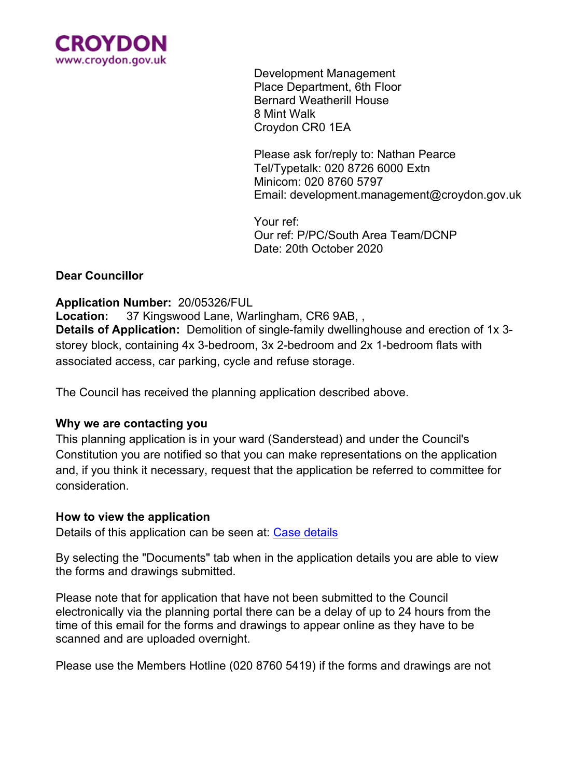

Development Management Place Department, 6th Floor Bernard Weatherill House 8 Mint Walk Croydon CR0 1EA

Please ask for/reply to: Nathan Pearce Tel/Typetalk: 020 8726 6000 Extn Minicom: 020 8760 5797 Email: development.management@croydon.gov.uk

Your ref: Our ref: P/PC/South Area Team/DCNP Date: 20th October 2020

## **Dear Councillor**

### **Application Number:** 20/05326/FUL

**Location:** 37 Kingswood Lane, Warlingham, CR6 9AB, , **Details of Application:** Demolition of single-family dwellinghouse and erection of 1x 3 storey block, containing 4x 3-bedroom, 3x 2-bedroom and 2x 1-bedroom flats with associated access, car parking, cycle and refuse storage.

The Council has received the planning application described above.

### **Why we are contacting you**

This planning application is in your ward (Sanderstead) and under the Council's Constitution you are notified so that you can make representations on the application and, if you think it necessary, request that the application be referred to committee for consideration.

### **How to view the application**

Details of this application can be seen at: Case [details](https://publicaccess3.croydon.gov.uk/online-applications/applicationDetails.do?activeTab=summary&keyVal=QI75D7JLHGC00)

By selecting the "Documents" tab when in the application details you are able to view the forms and drawings submitted.

Please note that for application that have not been submitted to the Council electronically via the planning portal there can be a delay of up to 24 hours from the time of this email for the forms and drawings to appear online as they have to be scanned and are uploaded overnight.

Please use the Members Hotline (020 8760 5419) if the forms and drawings are not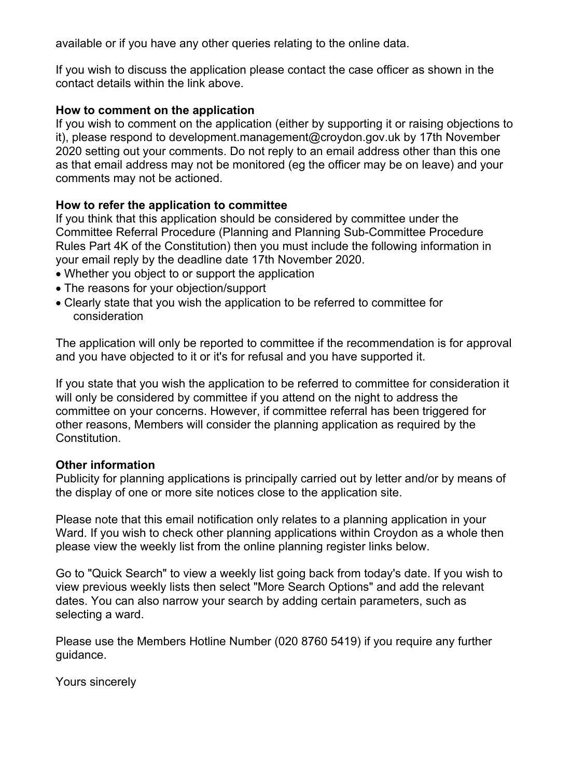available or if you have any other queries relating to the online data.

If you wish to discuss the application please contact the case officer as shown in the contact details within the link above.

## **How to comment on the application**

If you wish to comment on the application (either by supporting it or raising objections to it), please respond to development.management@croydon.gov.uk by 17th November 2020 setting out your comments. Do not reply to an email address other than this one as that email address may not be monitored (eg the officer may be on leave) and your comments may not be actioned.

## **How to refer the application to committee**

If you think that this application should be considered by committee under the Committee Referral Procedure (Planning and Planning Sub-Committee Procedure Rules Part 4K of the Constitution) then you must include the following information in your email reply by the deadline date 17th November 2020.

- Whether you object to or support the application
- The reasons for your objection/support
- Clearly state that you wish the application to be referred to committee for consideration

The application will only be reported to committee if the recommendation is for approval and you have objected to it or it's for refusal and you have supported it.

If you state that you wish the application to be referred to committee for consideration it will only be considered by committee if you attend on the night to address the committee on your concerns. However, if committee referral has been triggered for other reasons, Members will consider the planning application as required by the Constitution.

### **Other information**

Publicity for planning applications is principally carried out by letter and/or by means of the display of one or more site notices close to the application site.

Please note that this email notification only relates to a planning application in your Ward. If you wish to check other planning applications within Croydon as a whole then please view the weekly list from the online planning register links below.

Go to "Quick Search" to view a weekly list going back from today's date. If you wish to view previous weekly lists then select "More Search Options" and add the relevant dates. You can also narrow your search by adding certain parameters, such as selecting a ward.

Please use the Members Hotline Number (020 8760 5419) if you require any further guidance.

Yours sincerely